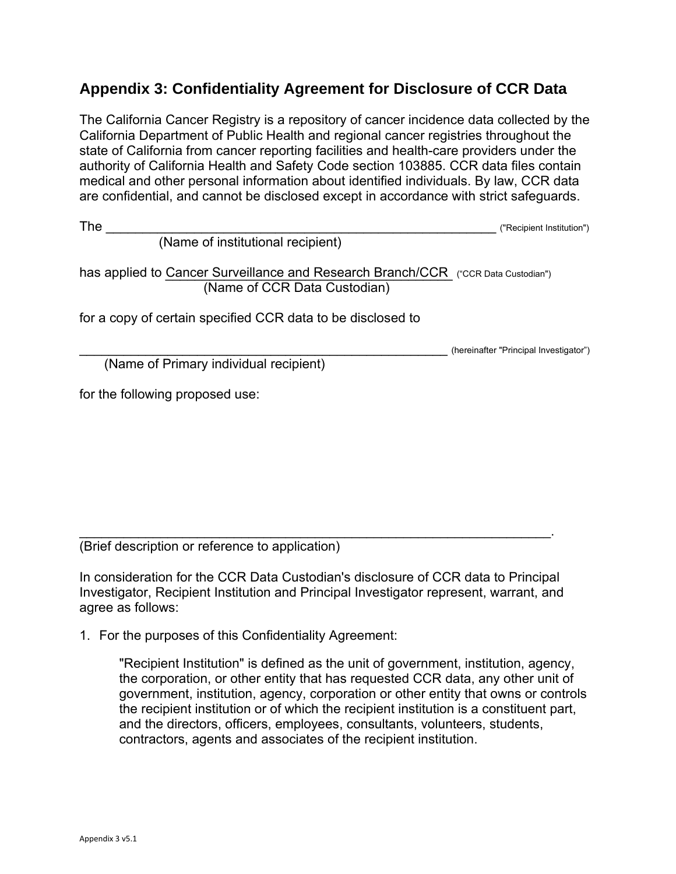## **Appendix 3: Confidentiality Agreement for Disclosure of CCR Data**

 medical and other personal information about identified individuals. By law, CCR data The California Cancer Registry is a repository of cancer incidence data collected by the California Department of Public Health and regional cancer registries throughout the state of California from cancer reporting facilities and health-care providers under the authority of California Health and Safety Code section 103885. CCR data files contain are confidential, and cannot be disclosed except in accordance with strict safeguards.

The \_\_\_\_\_\_\_\_\_\_\_\_\_\_\_\_\_\_\_\_\_\_\_\_\_\_\_\_\_\_\_\_\_\_\_\_\_\_\_\_\_\_\_\_\_\_\_\_\_\_\_\_\_ ("Recipient Institution")

(Name of institutional recipient)

has applied to Cancer Surveillance and Research Branch/CCR ("CCR Data Custodian") (Name of CCR Data Custodian)

for a copy of certain specified CCR data to be disclosed to

(hereinafter "Principal Investigator")

(Name of Primary individual recipient)

for the following proposed use:

 $\overline{\phantom{a}}$  , and the contribution of the contribution of the contribution of the contribution of the contribution of the contribution of the contribution of the contribution of the contribution of the contribution of the (Brief description or reference to application)

In consideration for the CCR Data Custodian's disclosure of CCR data to Principal Investigator, Recipient Institution and Principal Investigator represent, warrant, and agree as follows:

1. For the purposes of this Confidentiality Agreement:

"Recipient Institution" is defined as the unit of government, institution, agency, the corporation, or other entity that has requested CCR data, any other unit of government, institution, agency, corporation or other entity that owns or controls the recipient institution or of which the recipient institution is a constituent part, and the directors, officers, employees, consultants, volunteers, students, contractors, agents and associates of the recipient institution.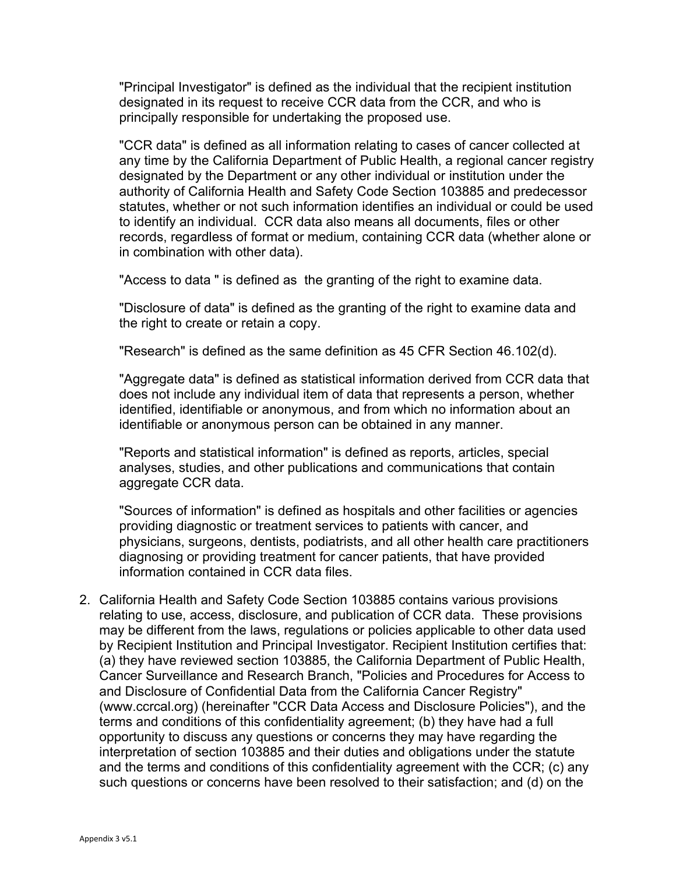"Principal Investigator" is defined as the individual that the recipient institution designated in its request to receive CCR data from the CCR, and who is principally responsible for undertaking the proposed use.

"CCR data" is defined as all information relating to cases of cancer collected at any time by the California Department of Public Health, a regional cancer registry designated by the Department or any other individual or institution under the authority of California Health and Safety Code Section 103885 and predecessor statutes, whether or not such information identifies an individual or could be used to identify an individual. CCR data also means all documents, files or other records, regardless of format or medium, containing CCR data (whether alone or in combination with other data).

"Access to data " is defined as the granting of the right to examine data.

"Disclosure of data" is defined as the granting of the right to examine data and the right to create or retain a copy.

"Research" is defined as the same definition as 45 CFR Section 46.102(d).

"Aggregate data" is defined as statistical information derived from CCR data that does not include any individual item of data that represents a person, whether identified, identifiable or anonymous, and from which no information about an identifiable or anonymous person can be obtained in any manner.

"Reports and statistical information" is defined as reports, articles, special analyses, studies, and other publications and communications that contain aggregate CCR data.

"Sources of information" is defined as hospitals and other facilities or agencies providing diagnostic or treatment services to patients with cancer, and physicians, surgeons, dentists, podiatrists, and all other health care practitioners diagnosing or providing treatment for cancer patients, that have provided information contained in CCR data files.

2. California Health and Safety Code Section 103885 contains various provisions relating to use, access, disclosure, and publication of CCR data. These provisions may be different from the laws, regulations or policies applicable to other data used by Recipient Institution and Principal Investigator. Recipient Institution certifies that: (a) they have reviewed section 103885, the California Department of Public Health, Cancer Surveillance and Research Branch, "Policies and Procedures for Access to and Disclosure of Confidential Data from the California Cancer Registry" (www.ccrcal.org) (hereinafter "CCR Data Access and Disclosure Policies"), and the terms and conditions of this confidentiality agreement; (b) they have had a full opportunity to discuss any questions or concerns they may have regarding the interpretation of section 103885 and their duties and obligations under the statute and the terms and conditions of this confidentiality agreement with the CCR; (c) any such questions or concerns have been resolved to their satisfaction; and (d) on the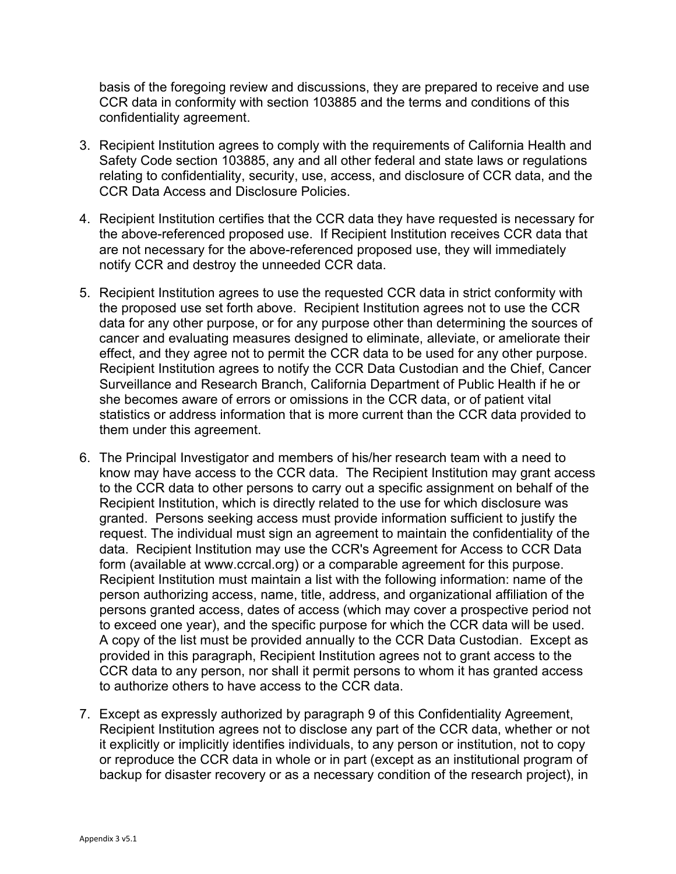basis of the foregoing review and discussions, they are prepared to receive and use CCR data in conformity with section 103885 and the terms and conditions of this confidentiality agreement.

- 3. Recipient Institution agrees to comply with the requirements of California Health and Safety Code section 103885, any and all other federal and state laws or regulations relating to confidentiality, security, use, access, and disclosure of CCR data, and the CCR Data Access and Disclosure Policies.
- 4. Recipient Institution certifies that the CCR data they have requested is necessary for the above-referenced proposed use. If Recipient Institution receives CCR data that are not necessary for the above-referenced proposed use, they will immediately notify CCR and destroy the unneeded CCR data.
- 5. Recipient Institution agrees to use the requested CCR data in strict conformity with the proposed use set forth above. Recipient Institution agrees not to use the CCR data for any other purpose, or for any purpose other than determining the sources of cancer and evaluating measures designed to eliminate, alleviate, or ameliorate their effect, and they agree not to permit the CCR data to be used for any other purpose. Recipient Institution agrees to notify the CCR Data Custodian and the Chief, Cancer Surveillance and Research Branch, California Department of Public Health if he or she becomes aware of errors or omissions in the CCR data, or of patient vital statistics or address information that is more current than the CCR data provided to them under this agreement.
- 6. The Principal Investigator and members of his/her research team with a need to know may have access to the CCR data. The Recipient Institution may grant access to the CCR data to other persons to carry out a specific assignment on behalf of the Recipient Institution, which is directly related to the use for which disclosure was granted. Persons seeking access must provide information sufficient to justify the request. The individual must sign an agreement to maintain the confidentiality of the data. Recipient Institution may use the CCR's Agreement for Access to CCR Data form (available at www.ccrcal.org) or a comparable agreement for this purpose. Recipient Institution must maintain a list with the following information: name of the person authorizing access, name, title, address, and organizational affiliation of the persons granted access, dates of access (which may cover a prospective period not to exceed one year), and the specific purpose for which the CCR data will be used. A copy of the list must be provided annually to the CCR Data Custodian. Except as provided in this paragraph, Recipient Institution agrees not to grant access to the CCR data to any person, nor shall it permit persons to whom it has granted access to authorize others to have access to the CCR data.
- 7. Except as expressly authorized by paragraph 9 of this Confidentiality Agreement, Recipient Institution agrees not to disclose any part of the CCR data, whether or not it explicitly or implicitly identifies individuals, to any person or institution, not to copy or reproduce the CCR data in whole or in part (except as an institutional program of backup for disaster recovery or as a necessary condition of the research project), in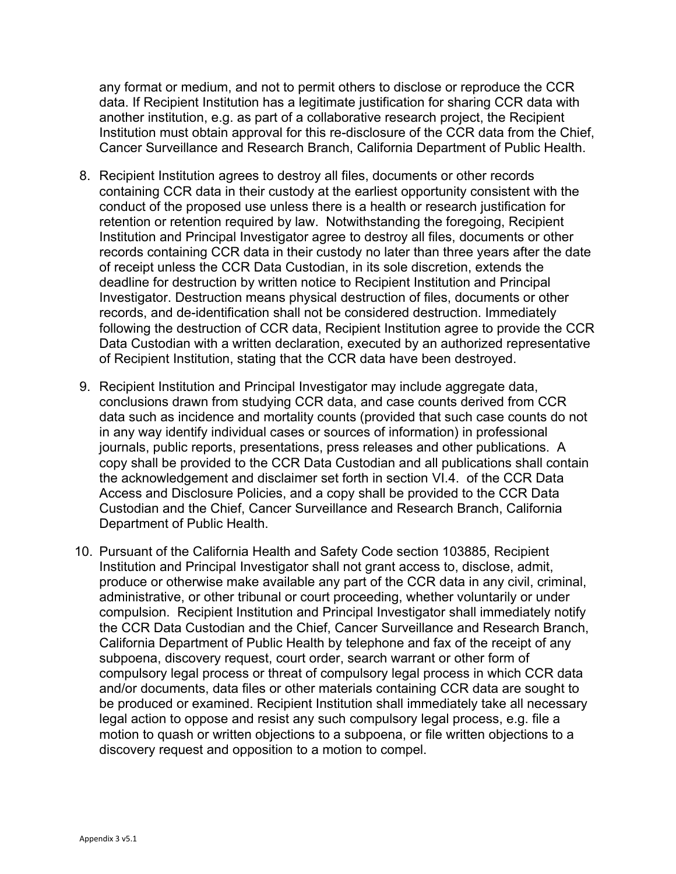any format or medium, and not to permit others to disclose or reproduce the CCR data. If Recipient Institution has a legitimate justification for sharing CCR data with another institution, e.g. as part of a collaborative research project, the Recipient Institution must obtain approval for this re-disclosure of the CCR data from the Chief, Cancer Surveillance and Research Branch, California Department of Public Health.

- 8. Recipient Institution agrees to destroy all files, documents or other records containing CCR data in their custody at the earliest opportunity consistent with the conduct of the proposed use unless there is a health or research justification for retention or retention required by law. Notwithstanding the foregoing, Recipient Institution and Principal Investigator agree to destroy all files, documents or other records containing CCR data in their custody no later than three years after the date of receipt unless the CCR Data Custodian, in its sole discretion, extends the deadline for destruction by written notice to Recipient Institution and Principal Investigator. Destruction means physical destruction of files, documents or other records, and de-identification shall not be considered destruction. Immediately following the destruction of CCR data, Recipient Institution agree to provide the CCR Data Custodian with a written declaration, executed by an authorized representative of Recipient Institution, stating that the CCR data have been destroyed.
- 9. Recipient Institution and Principal Investigator may include aggregate data, conclusions drawn from studying CCR data, and case counts derived from CCR data such as incidence and mortality counts (provided that such case counts do not in any way identify individual cases or sources of information) in professional journals, public reports, presentations, press releases and other publications. A copy shall be provided to the CCR Data Custodian and all publications shall contain the acknowledgement and disclaimer set forth in section VI.4. of the CCR Data Access and Disclosure Policies, and a copy shall be provided to the CCR Data Custodian and the Chief, Cancer Surveillance and Research Branch, California Department of Public Health.
- 10. Pursuant of the California Health and Safety Code section 103885, Recipient Institution and Principal Investigator shall not grant access to, disclose, admit, produce or otherwise make available any part of the CCR data in any civil, criminal, administrative, or other tribunal or court proceeding, whether voluntarily or under compulsion. Recipient Institution and Principal Investigator shall immediately notify the CCR Data Custodian and the Chief, Cancer Surveillance and Research Branch, California Department of Public Health by telephone and fax of the receipt of any subpoena, discovery request, court order, search warrant or other form of compulsory legal process or threat of compulsory legal process in which CCR data and/or documents, data files or other materials containing CCR data are sought to be produced or examined. Recipient Institution shall immediately take all necessary legal action to oppose and resist any such compulsory legal process, e.g. file a motion to quash or written objections to a subpoena, or file written objections to a discovery request and opposition to a motion to compel.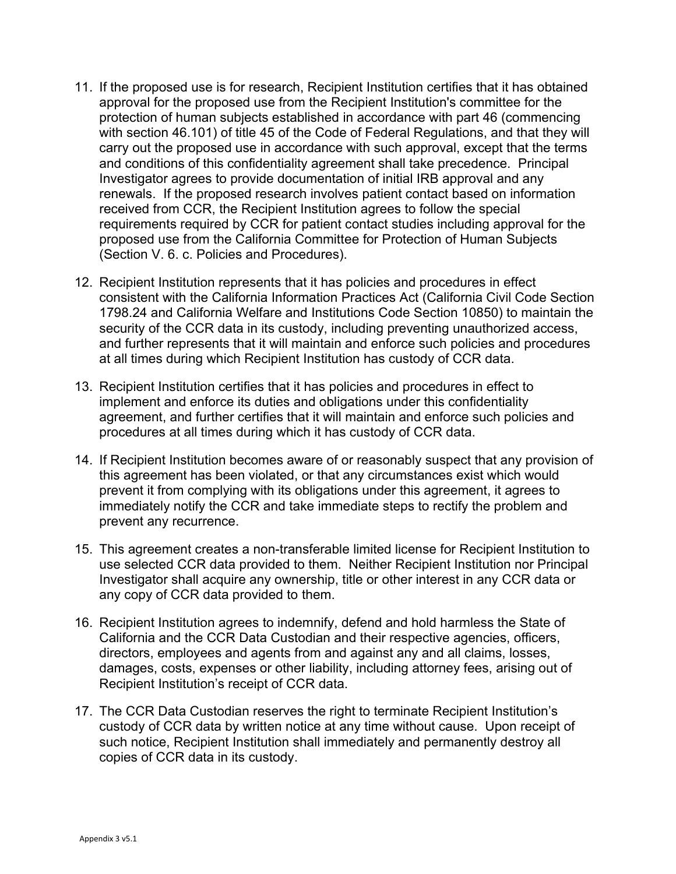- 11. If the proposed use is for research, Recipient Institution certifies that it has obtained approval for the proposed use from the Recipient Institution's committee for the protection of human subjects established in accordance with part 46 (commencing with section 46.101) of title 45 of the Code of Federal Regulations, and that they will carry out the proposed use in accordance with such approval, except that the terms and conditions of this confidentiality agreement shall take precedence. Principal Investigator agrees to provide documentation of initial IRB approval and any renewals. If the proposed research involves patient contact based on information received from CCR, the Recipient Institution agrees to follow the special requirements required by CCR for patient contact studies including approval for the proposed use from the California Committee for Protection of Human Subjects (Section V. 6. c. Policies and Procedures).
- 12. Recipient Institution represents that it has policies and procedures in effect consistent with the California Information Practices Act (California Civil Code Section 1798.24 and California Welfare and Institutions Code Section 10850) to maintain the security of the CCR data in its custody, including preventing unauthorized access, and further represents that it will maintain and enforce such policies and procedures at all times during which Recipient Institution has custody of CCR data.
- 13. Recipient Institution certifies that it has policies and procedures in effect to implement and enforce its duties and obligations under this confidentiality agreement, and further certifies that it will maintain and enforce such policies and procedures at all times during which it has custody of CCR data.
- 14. If Recipient Institution becomes aware of or reasonably suspect that any provision of this agreement has been violated, or that any circumstances exist which would prevent it from complying with its obligations under this agreement, it agrees to immediately notify the CCR and take immediate steps to rectify the problem and prevent any recurrence.
- 15. This agreement creates a non-transferable limited license for Recipient Institution to use selected CCR data provided to them. Neither Recipient Institution nor Principal Investigator shall acquire any ownership, title or other interest in any CCR data or any copy of CCR data provided to them.
- 16. Recipient Institution agrees to indemnify, defend and hold harmless the State of California and the CCR Data Custodian and their respective agencies, officers, directors, employees and agents from and against any and all claims, losses, damages, costs, expenses or other liability, including attorney fees, arising out of Recipient Institution's receipt of CCR data.
- 17. The CCR Data Custodian reserves the right to terminate Recipient Institution's custody of CCR data by written notice at any time without cause. Upon receipt of such notice, Recipient Institution shall immediately and permanently destroy all copies of CCR data in its custody.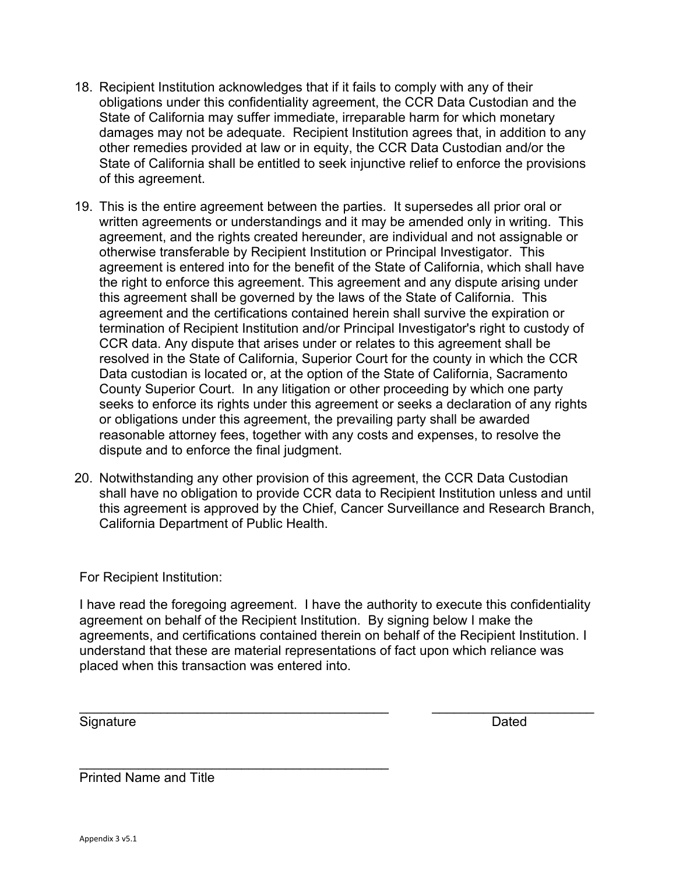- 18. Recipient Institution acknowledges that if it fails to comply with any of their obligations under this confidentiality agreement, the CCR Data Custodian and the State of California may suffer immediate, irreparable harm for which monetary damages may not be adequate. Recipient Institution agrees that, in addition to any other remedies provided at law or in equity, the CCR Data Custodian and/or the State of California shall be entitled to seek injunctive relief to enforce the provisions of this agreement.
- 19. This is the entire agreement between the parties. It supersedes all prior oral or written agreements or understandings and it may be amended only in writing. This agreement, and the rights created hereunder, are individual and not assignable or otherwise transferable by Recipient Institution or Principal Investigator. This agreement is entered into for the benefit of the State of California, which shall have the right to enforce this agreement. This agreement and any dispute arising under this agreement shall be governed by the laws of the State of California. This agreement and the certifications contained herein shall survive the expiration or termination of Recipient Institution and/or Principal Investigator's right to custody of CCR data. Any dispute that arises under or relates to this agreement shall be resolved in the State of California, Superior Court for the county in which the CCR Data custodian is located or, at the option of the State of California, Sacramento County Superior Court. In any litigation or other proceeding by which one party seeks to enforce its rights under this agreement or seeks a declaration of any rights or obligations under this agreement, the prevailing party shall be awarded reasonable attorney fees, together with any costs and expenses, to resolve the dispute and to enforce the final judgment.
- 20. Notwithstanding any other provision of this agreement, the CCR Data Custodian shall have no obligation to provide CCR data to Recipient Institution unless and until this agreement is approved by the Chief, Cancer Surveillance and Research Branch, California Department of Public Health.

For Recipient Institution:

I have read the foregoing agreement. I have the authority to execute this confidentiality agreement on behalf of the Recipient Institution. By signing below I make the agreements, and certifications contained therein on behalf of the Recipient Institution. I understand that these are material representations of fact upon which reliance was placed when this transaction was entered into.

 $\overline{\phantom{a}}$  , and the contribution of the contribution of the contribution of the contribution of the contribution of the contribution of the contribution of the contribution of the contribution of the contribution of the

Signature Dated

 $\frac{1}{2}$  ,  $\frac{1}{2}$  ,  $\frac{1}{2}$  ,  $\frac{1}{2}$  ,  $\frac{1}{2}$  ,  $\frac{1}{2}$  ,  $\frac{1}{2}$  ,  $\frac{1}{2}$  ,  $\frac{1}{2}$  ,  $\frac{1}{2}$  ,  $\frac{1}{2}$  ,  $\frac{1}{2}$  ,  $\frac{1}{2}$  ,  $\frac{1}{2}$  ,  $\frac{1}{2}$  ,  $\frac{1}{2}$  ,  $\frac{1}{2}$  ,  $\frac{1}{2}$  ,  $\frac{1$ Printed Name and Title